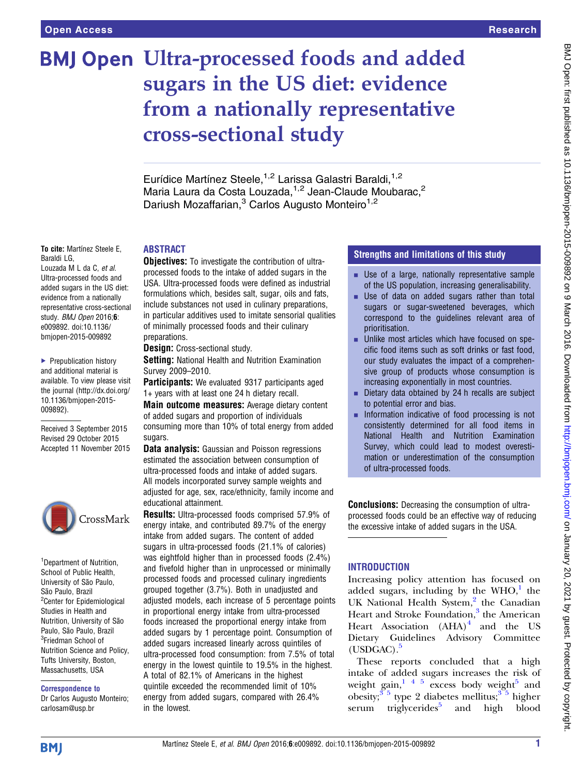# **BMJ Open Ultra-processed foods and added** sugars in the US diet: evidence from a nationally representative cross-sectional study

Eurídice Martínez Steele,<sup>1,2</sup> Larissa Galastri Baraldi,<sup>1,2</sup> Maria Laura da Costa Louzada,<sup>1,2</sup> Jean-Claude Moubarac,<sup>2</sup> Dariush Mozaffarian,<sup>3</sup> Carlos Augusto Monteiro<sup>1,2</sup>

#### To cite: Martínez Steele E, Baraldi LG,

Louzada M L da C, et al. Ultra-processed foods and added sugars in the US diet: evidence from a nationally representative cross-sectional study. BMJ Open 2016;6: e009892. doi:10.1136/ bmjopen-2015-009892

▶ Prepublication history and additional material is available. To view please visit the journal [\(http://dx.doi.org/](http://dx.doi.org/10.1136/bmjopen-2015-009892) [10.1136/bmjopen-2015-](http://dx.doi.org/10.1136/bmjopen-2015-009892) [009892\)](http://dx.doi.org/10.1136/bmjopen-2015-009892).

Received 3 September 2015 Revised 29 October 2015 Accepted 11 November 2015



<sup>1</sup>Department of Nutrition, School of Public Health, University of São Paulo, São Paulo, Brazil <sup>2</sup> Center for Epidemiological Studies in Health and Nutrition, University of São Paulo, São Paulo, Brazil <sup>3</sup>Friedman School of Nutrition Science and Policy, Tufts University, Boston, Massachusetts, USA

#### Correspondence to

Dr Carlos Augusto Monteiro; carlosam@usp.br

# ABSTRACT

**Objectives:** To investigate the contribution of ultraprocessed foods to the intake of added sugars in the USA. Ultra-processed foods were defined as industrial formulations which, besides salt, sugar, oils and fats, include substances not used in culinary preparations, in particular additives used to imitate sensorial qualities of minimally processed foods and their culinary preparations.

**Design:** Cross-sectional study.

**Setting:** National Health and Nutrition Examination Survey 2009–2010.

**Participants:** We evaluated 9317 participants aged 1+ years with at least one 24 h dietary recall.

Main outcome measures: Average dietary content of added sugars and proportion of individuals consuming more than 10% of total energy from added sugars.

**Data analysis:** Gaussian and Poisson regressions estimated the association between consumption of ultra-processed foods and intake of added sugars. All models incorporated survey sample weights and adjusted for age, sex, race/ethnicity, family income and educational attainment.

Results: Ultra-processed foods comprised 57.9% of energy intake, and contributed 89.7% of the energy intake from added sugars. The content of added sugars in ultra-processed foods (21.1% of calories) was eightfold higher than in processed foods (2.4%) and fivefold higher than in unprocessed or minimally processed foods and processed culinary ingredients grouped together (3.7%). Both in unadjusted and adjusted models, each increase of 5 percentage points in proportional energy intake from ultra-processed foods increased the proportional energy intake from added sugars by 1 percentage point. Consumption of added sugars increased linearly across quintiles of ultra-processed food consumption: from 7.5% of total energy in the lowest quintile to 19.5% in the highest. A total of 82.1% of Americans in the highest quintile exceeded the recommended limit of 10% energy from added sugars, compared with 26.4% in the lowest.

## Strengths and limitations of this study

- **Use of a large, nationally representative sample** of the US population, increasing generalisability.
- **Use of data on added sugars rather than total** sugars or sugar-sweetened beverages, which correspond to the guidelines relevant area of prioritisation.
- **EXECUTE:** Unlike most articles which have focused on specific food items such as soft drinks or fast food, our study evaluates the impact of a comprehensive group of products whose consumption is increasing exponentially in most countries.
- $\blacksquare$  Dietary data obtained by 24 h recalls are subject to potential error and bias.
- **EXECUTE:** Information indicative of food processing is not consistently determined for all food items in National Health and Nutrition Examination Survey, which could lead to modest overestimation or underestimation of the consumption of ultra-processed foods.

Conclusions: Decreasing the consumption of ultraprocessed foods could be an effective way of reducing the excessive intake of added sugars in the USA.

# INTRODUCTION

Increasing policy attention has focused on added sugars, including by the  $WHO<sup>1</sup>$  $WHO<sup>1</sup>$  $WHO<sup>1</sup>$ , the UK National Health System, $^{2}$  $^{2}$  $^{2}$  the Canadian Heart and Stroke Foundation,<sup>[3](#page-6-0)</sup> the American Heart Association  $(AHA)^4$  $(AHA)^4$  and the US Dietary Guidelines Advisory Committee  $(USDGAC).<sup>5</sup>$  $(USDGAC).<sup>5</sup>$  $(USDGAC).<sup>5</sup>$ 

These reports concluded that a high intake of added sugars increases the risk of weight gain,  $145$  excess body weight<sup>[5](#page-6-0)</sup> and obesity; $3<sup>5</sup>$  type 2 diabetes mellitus; $3<sup>5</sup>$  higher serum triglycerides $5$  and high blood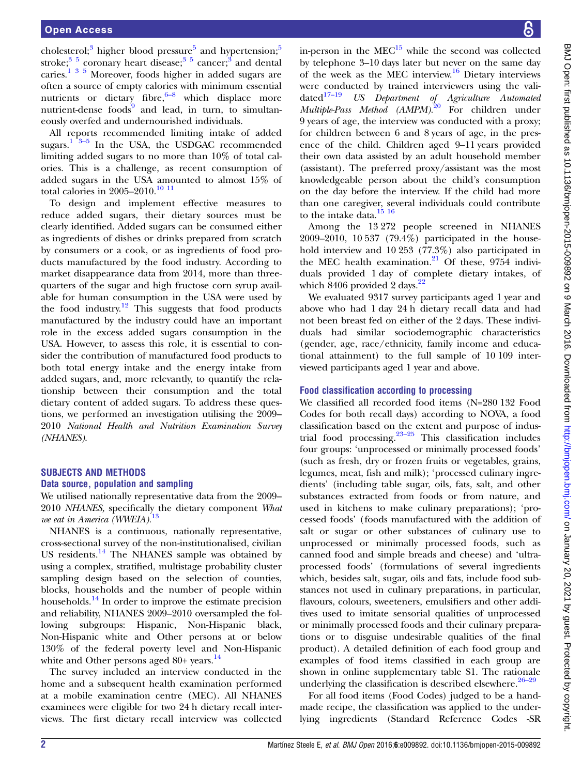cholesterol;<sup>[3](#page-6-0)</sup> higher blood pressure<sup>[5](#page-6-0)</sup> and hypertension;<sup>5</sup> stroke;<sup>35</sup> coronary heart disease;<sup>35</sup> cancer;<sup>3</sup> and dental caries.<sup>[135](#page-6-0)</sup> Moreover, foods higher in added sugars are often a source of empty calo[ries](#page-6-0) with minimum essential nutrients or dietary fibre, $6-8$  which displace more nutrient-dense foods $\frac{9}{9}$  $\frac{9}{9}$  $\frac{9}{9}$  and lead, in turn, to simultaneously overfed and undernourished individuals.

All reports recommended limiting intake of added sugars.<sup>1</sup>  $3-5$  In the USA, the USDGAC recommended limiting added sugars to no more than 10% of total calories. This is a challenge, as recent consumption of added sugars in the USA amounted to almost 15% of total calories in 2005–2010.<sup>[10 11](#page-6-0)</sup>

To design and implement effective measures to reduce added sugars, their dietary sources must be clearly identified. Added sugars can be consumed either as ingredients of dishes or drinks prepared from scratch by consumers or a cook, or as ingredients of food products manufactured by the food industry. According to market disappearance data from 2014, more than threequarters of the sugar and high fructose corn syrup available for human consumption in the USA were used by the food industry.<sup>[12](#page-6-0)</sup> This suggests that food products manufactured by the industry could have an important role in the excess added sugars consumption in the USA. However, to assess this role, it is essential to consider the contribution of manufactured food products to both total energy intake and the energy intake from added sugars, and, more relevantly, to quantify the relationship between their consumption and the total dietary content of added sugars. To address these questions, we performed an investigation utilising the 2009– 2010 National Health and Nutrition Examination Survey (NHANES).

## SUBJECTS AND METHODS

#### Data source, population and sampling

We utilised nationally representative data from the 2009– 2010 NHANES, specifically the dietary component What we eat in America (WWEIA).<sup>[13](#page-6-0)</sup>

NHANES is a continuous, nationally representative, cross-sectional survey of the non-institutionalised, civilian US residents.<sup>[14](#page-6-0)</sup> The NHANES sample was obtained by using a complex, stratified, multistage probability cluster sampling design based on the selection of counties, blocks, households and the number of people within households. $^{14}$  $^{14}$  $^{14}$  In order to improve the estimate precision and reliability, NHANES 2009–2010 oversampled the following subgroups: Hispanic, Non-Hispanic black, Non-Hispanic white and Other persons at or below 130% of the federal poverty level and Non-Hispanic white and Other persons aged 80+ years.<sup>[14](#page-6-0)</sup>

The survey included an interview conducted in the home and a subsequent health examination performed at a mobile examination centre (MEC). All NHANES examinees were eligible for two 24 h dietary recall interviews. The first dietary recall interview was collected in-person in the  $MEC<sup>15</sup>$  while the second was collected by telephone 3–10 days later but never on the same day of the week as the MEC interview.<sup>[16](#page-6-0)</sup> Dietary interviews were conducted by trained interviewers using the validated<sup>17-19</sup> US Department of Agriculture Automated Multiple-Pass Method (AMPM).<sup>[20](#page-6-0)</sup> For children under 9 years of age, the interview was conducted with a proxy; for children between 6 and 8 years of age, in the presence of the child. Children aged 9–11 years provided their own data assisted by an adult household member (assistant). The preferred proxy/assistant was the most knowledgeable person about the child's consumption on the day before the interview. If the child had more than one caregiver, several individuals could contribute to the intake data.<sup>[15 16](#page-6-0)</sup>

Among the 13 272 people screened in NHANES 2009–2010, 10 537 (79.4%) participated in the household interview and 10 253 (77.3%) also participated in the MEC health examination. $21$  Of these, 9754 individuals provided 1 day of complete dietary intakes, of which 8406 provided 2 days. $22$ 

We evaluated 9317 survey participants aged 1 year and above who had 1 day 24 h dietary recall data and had not been breast fed on either of the 2 days. These individuals had similar sociodemographic characteristics (gender, age, race/ethnicity, family income and educational attainment) to the full sample of 10 109 interviewed participants aged 1 year and above.

#### Food classification according to processing

We classified all recorded food items (N=280 132 Food Codes for both recall days) according to NOVA, a food classification based on the extent and purpose of industrial food processing[.23](#page-6-0)–<sup>25</sup> This classification includes four groups: 'unprocessed or minimally processed foods' (such as fresh, dry or frozen fruits or vegetables, grains, legumes, meat, fish and milk); 'processed culinary ingredients' (including table sugar, oils, fats, salt, and other substances extracted from foods or from nature, and used in kitchens to make culinary preparations); 'processed foods' ( foods manufactured with the addition of salt or sugar or other substances of culinary use to unprocessed or minimally processed foods, such as canned food and simple breads and cheese) and 'ultraprocessed foods' (formulations of several ingredients which, besides salt, sugar, oils and fats, include food substances not used in culinary preparations, in particular, flavours, colours, sweeteners, emulsifiers and other additives used to imitate sensorial qualities of unprocessed or minimally processed foods and their culinary preparations or to disguise undesirable qualities of the final product). A detailed definition of each food group and examples of food items classified in each group are shown in online supplementary table S1. The rationale underlying the classification is described elsewhere.<sup>26–[29](#page-6-0)</sup>

For all food items (Food Codes) judged to be a handmade recipe, the classification was applied to the underlying ingredients (Standard Reference Codes -SR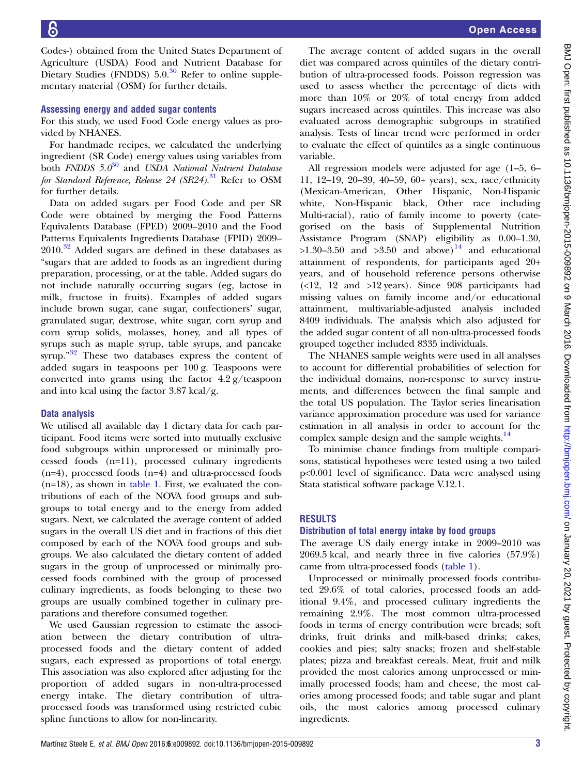Codes-) obtained from the United States Department of Agriculture (USDA) Food and Nutrient Database for Dietary Studies (FNDDS)  $5.0<sup>30</sup>$  Refer to online supplementary material (OSM) for further details.

#### Assessing energy and added sugar contents

For this study, we used Food Code energy values as provided by NHANES.

For handmade recipes, we calculated the underlying ingredient (SR Code) energy values using variables from both FNDDS  $5.0^{30}$  $5.0^{30}$  $5.0^{30}$  and USDA National Nutrient Database for Standard Reference, Release 24 (SR24).<sup>[31](#page-6-0)</sup> Refer to OSM for further details.

Data on added sugars per Food Code and per SR Code were obtained by merging the Food Patterns Equivalents Database (FPED) 2009–2010 and the Food Patterns Equivalents Ingredients Database (FPID) 2009–  $2010<sup>32</sup>$  $2010<sup>32</sup>$  $2010<sup>32</sup>$  Added sugars are defined in these databases as "sugars that are added to foods as an ingredient during preparation, processing, or at the table. Added sugars do not include naturally occurring sugars (eg, lactose in milk, fructose in fruits). Examples of added sugars include brown sugar, cane sugar, confectioners' sugar, granulated sugar, dextrose, white sugar, corn syrup and corn syrup solids, molasses, honey, and all types of syrups such as maple syrup, table syrups, and pancake syrup."<sup>[32](#page-6-0)</sup> These two databases express the content of added sugars in teaspoons per 100 g. Teaspoons were converted into grams using the factor  $4.2$  g/teaspoon and into kcal using the factor 3.87 kcal/g.

## Data analysis

We utilised all available day 1 dietary data for each participant. Food items were sorted into mutually exclusive food subgroups within unprocessed or minimally processed foods (n=11), processed culinary ingredients (n=4), processed foods (n=4) and ultra-processed foods (n=18), as shown in [table 1.](#page-3-0) First, we evaluated the contributions of each of the NOVA food groups and subgroups to total energy and to the energy from added sugars. Next, we calculated the average content of added sugars in the overall US diet and in fractions of this diet composed by each of the NOVA food groups and subgroups. We also calculated the dietary content of added sugars in the group of unprocessed or minimally processed foods combined with the group of processed culinary ingredients, as foods belonging to these two groups are usually combined together in culinary preparations and therefore consumed together.

We used Gaussian regression to estimate the association between the dietary contribution of ultraprocessed foods and the dietary content of added sugars, each expressed as proportions of total energy. This association was also explored after adjusting for the proportion of added sugars in non-ultra-processed energy intake. The dietary contribution of ultraprocessed foods was transformed using restricted cubic spline functions to allow for non-linearity.

The average content of added sugars in the overall diet was compared across quintiles of the dietary contribution of ultra-processed foods. Poisson regression was used to assess whether the percentage of diets with more than 10% or 20% of total energy from added sugars increased across quintiles. This increase was also evaluated across demographic subgroups in stratified analysis. Tests of linear trend were performed in order to evaluate the effect of quintiles as a single continuous variable.

All regression models were adjusted for age (1–5, 6– 11, 12–19, 20–39, 40–59, 60+ years), sex, race/ethnicity (Mexican-American, Other Hispanic, Non-Hispanic white, Non-Hispanic black, Other race including Multi-racial), ratio of family income to poverty (categorised on the basis of Supplemental Nutrition Assistance Program (SNAP) eligibility as 0.00–1.30,  $>1.30-3.50$  and  $>3.50$  and above)<sup>14</sup> and educational attainment of respondents, for participants aged 20+ years, and of household reference persons otherwise  $($  <12, 12 and >12 years). Since 908 participants had missing values on family income and/or educational attainment, multivariable-adjusted analysis included 8409 individuals. The analysis which also adjusted for the added sugar content of all non-ultra-processed foods grouped together included 8335 individuals.

The NHANES sample weights were used in all analyses to account for differential probabilities of selection for the individual domains, non-response to survey instruments, and differences between the final sample and the total US population. The Taylor series linearisation variance approximation procedure was used for variance estimation in all analysis in order to account for the complex sample design and the sample weights. $^{14}$ 

To minimise chance findings from multiple comparisons, statistical hypotheses were tested using a two tailed p<0.001 level of significance. Data were analysed using Stata statistical software package V.12.1.

## RESULTS

## Distribution of total energy intake by food groups

The average US daily energy intake in 2009–2010 was 2069.5 kcal, and nearly three in five calories (57.9%) came from ultra-processed foods ([table 1\)](#page-3-0).

Unprocessed or minimally processed foods contributed 29.6% of total calories, processed foods an additional 9.4%, and processed culinary ingredients the remaining 2.9%. The most common ultra-processed foods in terms of energy contribution were breads; soft drinks, fruit drinks and milk-based drinks; cakes, cookies and pies; salty snacks; frozen and shelf-stable plates; pizza and breakfast cereals. Meat, fruit and milk provided the most calories among unprocessed or minimally processed foods; ham and cheese, the most calories among processed foods; and table sugar and plant oils, the most calories among processed culinary ingredients.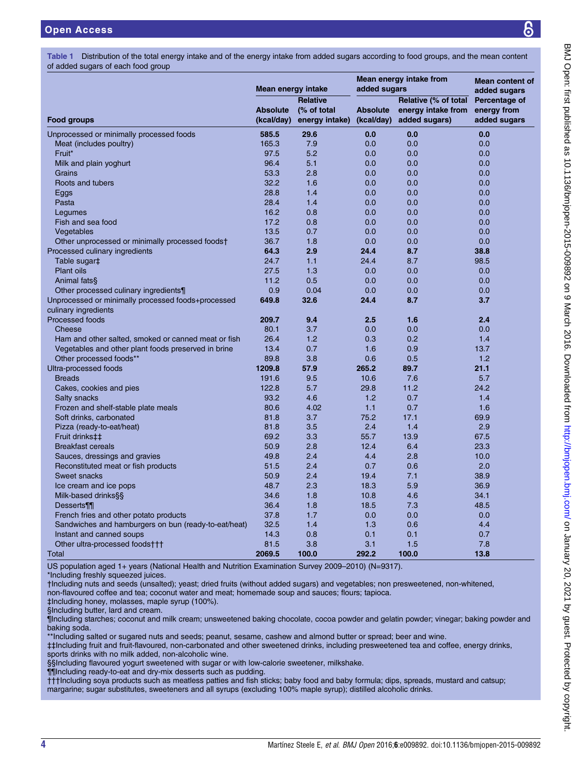<span id="page-3-0"></span>Table 1 Distribution of the total energy intake and of the energy intake from added sugars according to food groups, and the mean content of added sugars of each food group

|                                                      | Mean energy intake            |                                                  | Mean energy intake from<br>added sugars | <b>Mean content of</b><br>added sugars                      |                                              |  |
|------------------------------------------------------|-------------------------------|--------------------------------------------------|-----------------------------------------|-------------------------------------------------------------|----------------------------------------------|--|
| Food groups                                          | <b>Absolute</b><br>(kcal/day) | <b>Relative</b><br>(% of total<br>energy intake) | <b>Absolute</b><br>(kcal/day)           | Relative (% of total<br>energy intake from<br>added sugars) | Percentage of<br>energy from<br>added sugars |  |
| Unprocessed or minimally processed foods             | 585.5                         | 29.6                                             | 0.0                                     | 0.0                                                         | 0.0                                          |  |
| Meat (includes poultry)                              | 165.3                         | 7.9                                              | 0.0                                     | 0.0                                                         | 0.0                                          |  |
| Fruit*                                               | 97.5                          | 5.2                                              | 0.0                                     | 0.0                                                         | 0.0                                          |  |
| Milk and plain yoghurt                               | 96.4                          | 5.1                                              | 0.0                                     | 0.0                                                         | 0.0                                          |  |
| Grains                                               | 53.3                          | 2.8                                              | 0.0                                     | 0.0                                                         | 0.0                                          |  |
| Roots and tubers                                     | 32.2                          | 1.6                                              | 0.0                                     | 0.0                                                         | 0.0                                          |  |
| Eggs                                                 | 28.8                          | 1.4                                              | 0.0                                     | 0.0                                                         | 0.0                                          |  |
| Pasta                                                | 28.4                          | 1.4                                              | 0.0                                     | 0.0                                                         | 0.0                                          |  |
| Legumes                                              | 16.2                          | 0.8                                              | 0.0                                     | 0.0                                                         | 0.0                                          |  |
| Fish and sea food                                    | 17.2                          | 0.8                                              | 0.0                                     | 0.0                                                         | 0.0                                          |  |
| Vegetables                                           | 13.5                          | 0.7                                              | 0.0                                     | 0.0                                                         | 0.0                                          |  |
| Other unprocessed or minimally processed foods†      | 36.7                          | 1.8                                              | 0.0                                     | 0.0                                                         | 0.0                                          |  |
| Processed culinary ingredients                       | 64.3                          | 2.9                                              | 24.4                                    | 8.7                                                         | 38.8                                         |  |
| Table sugar‡                                         | 24.7                          | 1.1                                              | 24.4                                    | 8.7                                                         | 98.5                                         |  |
| <b>Plant oils</b>                                    | 27.5                          | 1.3                                              | 0.0                                     | 0.0                                                         | 0.0                                          |  |
| Animal fats§                                         | 11.2                          | 0.5                                              | 0.0                                     | 0.0                                                         | 0.0                                          |  |
| Other processed culinary ingredients¶                | 0.9                           | 0.04                                             | 0.0                                     | 0.0                                                         | 0.0                                          |  |
| Unprocessed or minimally processed foods+processed   | 649.8                         | 32.6                                             | 24.4                                    | 8.7                                                         | 3.7                                          |  |
| culinary ingredients                                 |                               |                                                  |                                         |                                                             |                                              |  |
| <b>Processed foods</b>                               | 209.7                         | 9.4                                              | 2.5                                     | 1.6                                                         | 2.4                                          |  |
| Cheese                                               | 80.1                          | 3.7                                              | 0.0                                     | 0.0                                                         | 0.0                                          |  |
| Ham and other salted, smoked or canned meat or fish  | 26.4                          | 1.2                                              | 0.3                                     | 0.2                                                         | 1.4                                          |  |
| Vegetables and other plant foods preserved in brine  | 13.4                          | 0.7                                              | 1.6                                     | 0.9                                                         | 13.7                                         |  |
| Other processed foods**                              | 89.8                          | 3.8                                              | 0.6                                     | 0.5                                                         | 1.2                                          |  |
| Ultra-processed foods                                | 1209.8                        | 57.9                                             | 265.2                                   | 89.7                                                        | 21.1                                         |  |
| <b>Breads</b>                                        | 191.6                         | 9.5                                              | 10.6                                    | 7.6                                                         | 5.7                                          |  |
| Cakes, cookies and pies                              | 122.8                         | 5.7                                              | 29.8                                    | 11.2                                                        | 24.2                                         |  |
| <b>Salty snacks</b>                                  | 93.2                          | 4.6                                              | 1.2                                     | 0.7                                                         | 1.4                                          |  |
| Frozen and shelf-stable plate meals                  | 80.6                          | 4.02                                             | 1.1                                     | 0.7                                                         | 1.6                                          |  |
| Soft drinks, carbonated                              | 81.8                          | 3.7                                              | 75.2                                    | 17.1                                                        | 69.9                                         |  |
| Pizza (ready-to-eat/heat)                            | 81.8                          | 3.5                                              | 2.4                                     | 1.4                                                         | 2.9                                          |  |
| Fruit drinks##                                       | 69.2                          | 3.3                                              | 55.7                                    | 13.9                                                        | 67.5                                         |  |
| <b>Breakfast cereals</b>                             | 50.9                          | 2.8                                              | 12.4                                    | 6.4                                                         | 23.3                                         |  |
| Sauces, dressings and gravies                        | 49.8                          | 2.4                                              | 4.4                                     | 2.8                                                         | 10.0                                         |  |
| Reconstituted meat or fish products                  | 51.5                          | 2.4                                              | 0.7                                     | 0.6                                                         | 2.0                                          |  |
| <b>Sweet snacks</b>                                  | 50.9                          | 2.4                                              | 19.4                                    | 7.1                                                         | 38.9                                         |  |
| Ice cream and ice pops                               | 48.7                          | 2.3                                              | 18.3                                    | 5.9                                                         | 36.9                                         |  |
| Milk-based drinks§§                                  | 34.6                          | 1.8                                              | 10.8                                    | 4.6                                                         | 34.1                                         |  |
| Desserts¶¶                                           | 36.4                          | 1.8                                              | 18.5                                    | 7.3                                                         | 48.5                                         |  |
| French fries and other potato products               | 37.8                          | 1.7                                              | 0.0                                     | 0.0                                                         | 0.0                                          |  |
| Sandwiches and hamburgers on bun (ready-to-eat/heat) | 32.5                          | 1.4                                              | 1.3                                     | 0.6                                                         | 4.4                                          |  |
| Instant and canned soups                             | 14.3                          | 0.8                                              | 0.1                                     | 0.1                                                         | 0.7                                          |  |
| Other ultra-processed foods†††                       | 81.5                          | 3.8                                              | 3.1                                     | 1.5                                                         | 7.8                                          |  |
| Total                                                | 2069.5                        | 100.0                                            | 292.2                                   | 100.0                                                       | 13.8                                         |  |

US population aged 1+ years (National Health and Nutrition Examination Survey 2009–2010) (N=9317).

\*Including freshly squeezed juices.

†Including nuts and seeds (unsalted); yeast; dried fruits (without added sugars) and vegetables; non presweetened, non-whitened, non-flavoured coffee and tea; coconut water and meat; homemade soup and sauces; flours; tapioca.

‡Including honey, molasses, maple syrup (100%).

§Including butter, lard and cream.

¶Including starches; coconut and milk cream; unsweetened baking chocolate, cocoa powder and gelatin powder; vinegar; baking powder and baking soda.

\*\*Including salted or sugared nuts and seeds; peanut, sesame, cashew and almond butter or spread; beer and wine.

‡‡Including fruit and fruit-flavoured, non-carbonated and other sweetened drinks, including presweetened tea and coffee, energy drinks, sports drinks with no milk added, non-alcoholic wine.

§§Including flavoured yogurt sweetened with sugar or with low-calorie sweetener, milkshake.

¶¶Including ready-to-eat and dry-mix desserts such as pudding.

†††Including soya products such as meatless patties and fish sticks; baby food and baby formula; dips, spreads, mustard and catsup; margarine; sugar substitutes, sweeteners and all syrups (excluding 100% maple syrup); distilled alcoholic drinks.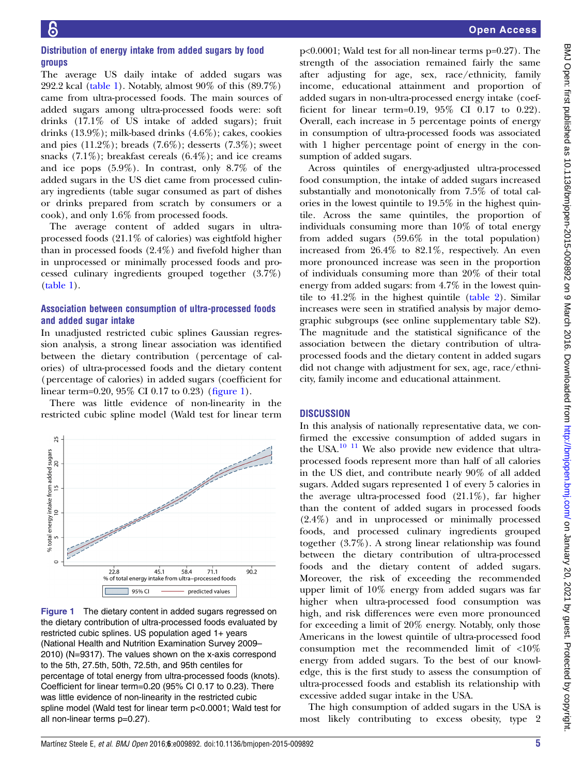## Distribution of energy intake from added sugars by food groups

The average US daily intake of added sugars was 292.2 kcal ([table 1](#page-3-0)). Notably, almost 90% of this (89.7%) came from ultra-processed foods. The main sources of added sugars among ultra-processed foods were: soft drinks (17.1% of US intake of added sugars); fruit drinks (13.9%); milk-based drinks (4.6%); cakes, cookies and pies (11.2%); breads (7.6%); desserts (7.3%); sweet snacks  $(7.1\%)$ ; breakfast cereals  $(6.4\%)$ ; and ice creams and ice pops (5.9%). In contrast, only 8.7% of the added sugars in the US diet came from processed culinary ingredients (table sugar consumed as part of dishes or drinks prepared from scratch by consumers or a cook), and only 1.6% from processed foods.

The average content of added sugars in ultraprocessed foods (21.1% of calories) was eightfold higher than in processed foods (2.4%) and fivefold higher than in unprocessed or minimally processed foods and processed culinary ingredients grouped together (3.7%) [\(table 1](#page-3-0)).

## Association between consumption of ultra-processed foods and added sugar intake

In unadjusted restricted cubic splines Gaussian regression analysis, a strong linear association was identified between the dietary contribution (percentage of calories) of ultra-processed foods and the dietary content (percentage of calories) in added sugars (coefficient for linear term=0.20,  $95\%$  CI 0.17 to 0.23) (figure 1).

There was little evidence of non-linearity in the restricted cubic spline model (Wald test for linear term



Figure 1 The dietary content in added sugars regressed on the dietary contribution of ultra-processed foods evaluated by restricted cubic splines. US population aged 1+ years (National Health and Nutrition Examination Survey 2009– 2010) (N=9317). The values shown on the x-axis correspond to the 5th, 27.5th, 50th, 72.5th, and 95th centiles for percentage of total energy from ultra-processed foods (knots). Coefficient for linear term=0.20 (95% CI 0.17 to 0.23). There was little evidence of non-linearity in the restricted cubic spline model (Wald test for linear term p<0.0001; Wald test for all non-linear terms p=0.27).

p<0.0001; Wald test for all non-linear terms p=0.27). The strength of the association remained fairly the same after adjusting for age, sex, race/ethnicity, family income, educational attainment and proportion of added sugars in non-ultra-processed energy intake (coefficient for linear term=0.19, 95% CI 0.17 to 0.22). Overall, each increase in 5 percentage points of energy in consumption of ultra-processed foods was associated with 1 higher percentage point of energy in the consumption of added sugars.

Across quintiles of energy-adjusted ultra-processed food consumption, the intake of added sugars increased substantially and monotonically from 7.5% of total calories in the lowest quintile to 19.5% in the highest quintile. Across the same quintiles, the proportion of individuals consuming more than 10% of total energy from added sugars (59.6% in the total population) increased from 26.4% to 82.1%, respectively. An even more pronounced increase was seen in the proportion of individuals consuming more than 20% of their total energy from added sugars: from 4.7% in the lowest quintile to 41.2% in the highest quintile [\(table 2](#page-5-0)). Similar increases were seen in stratified analysis by major demographic subgroups (see online supplementary table S2). The magnitude and the statistical significance of the association between the dietary contribution of ultraprocessed foods and the dietary content in added sugars did not change with adjustment for sex, age, race/ethnicity, family income and educational attainment.

## **DISCUSSION**

In this analysis of nationally representative data, we confirmed the excessive consumption of added sugars in the USA.[10 11](#page-6-0) We also provide new evidence that ultraprocessed foods represent more than half of all calories in the US diet, and contribute nearly 90% of all added sugars. Added sugars represented 1 of every 5 calories in the average ultra-processed food (21.1%), far higher than the content of added sugars in processed foods (2.4%) and in unprocessed or minimally processed foods, and processed culinary ingredients grouped together (3.7%). A strong linear relationship was found between the dietary contribution of ultra-processed foods and the dietary content of added sugars. Moreover, the risk of exceeding the recommended upper limit of 10% energy from added sugars was far higher when ultra-processed food consumption was high, and risk differences were even more pronounced for exceeding a limit of 20% energy. Notably, only those Americans in the lowest quintile of ultra-processed food consumption met the recommended limit of <10% energy from added sugars. To the best of our knowledge, this is the first study to assess the consumption of ultra-processed foods and establish its relationship with excessive added sugar intake in the USA.

The high consumption of added sugars in the USA is most likely contributing to excess obesity, type 2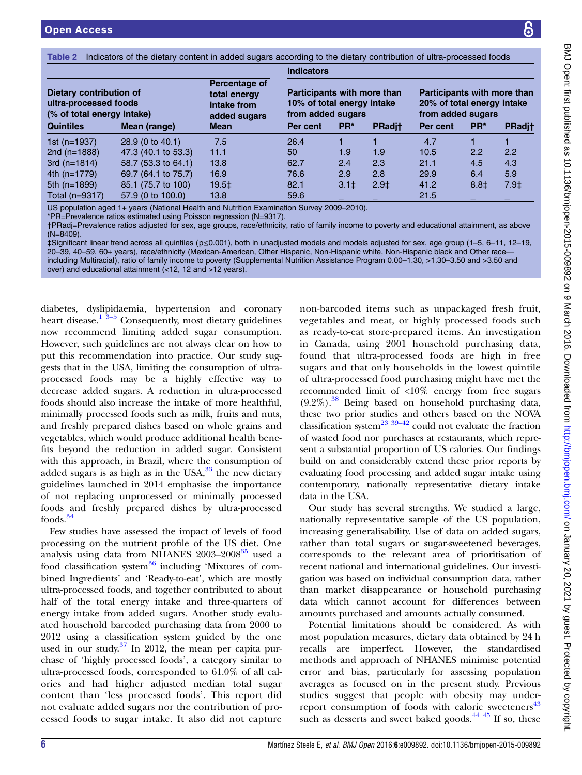<span id="page-5-0"></span>Table 2 Indicators of the dietary content in added sugars according to the dietary contribution of ultra-processed foods

|                                                                                |                     |                                                              | <b>Indicators</b>                                                              |                 |               |                                                                                |                 |               |  |  |
|--------------------------------------------------------------------------------|---------------------|--------------------------------------------------------------|--------------------------------------------------------------------------------|-----------------|---------------|--------------------------------------------------------------------------------|-----------------|---------------|--|--|
| Dietary contribution of<br>ultra-processed foods<br>(% of total energy intake) |                     | Percentage of<br>total energy<br>intake from<br>added sugars | Participants with more than<br>10% of total energy intake<br>from added sugars |                 |               | Participants with more than<br>20% of total energy intake<br>from added sugars |                 |               |  |  |
| <b>Quintiles</b>                                                               | Mean (range)        | <b>Mean</b>                                                  | Per cent                                                                       | PR <sup>*</sup> | <b>PRadit</b> | Per cent                                                                       | PR <sup>*</sup> | <b>PRadit</b> |  |  |
| 1st ( $n=1937$ )                                                               | 28.9 (0 to 40.1)    | 7.5                                                          | 26.4                                                                           |                 |               | 4.7                                                                            |                 |               |  |  |
| 2nd $(n=1888)$                                                                 | 47.3 (40.1 to 53.3) | 11.1                                                         | 50                                                                             | 1.9             | 1.9           | 10.5                                                                           | 2.2             | 2.2           |  |  |
| 3rd $(n=1814)$                                                                 | 58.7 (53.3 to 64.1) | 13.8                                                         | 62.7                                                                           | 2.4             | 2.3           | 21.1                                                                           | 4.5             | 4.3           |  |  |
| 4th (n=1779)                                                                   | 69.7 (64.1 to 75.7) | 16.9                                                         | 76.6                                                                           | 2.9             | 2.8           | 29.9                                                                           | 6.4             | 5.9           |  |  |
| 5th (n=1899)                                                                   | 85.1 (75.7 to 100)  | 19.5‡                                                        | 82.1                                                                           | $3.1+$          | $2.9+$        | 41.2                                                                           | $8.8+$          | $7.9+$        |  |  |
| Total (n=9317)                                                                 | 57.9 (0 to 100.0)   | 13.8                                                         | 59.6                                                                           |                 |               | 21.5                                                                           |                 |               |  |  |

US population aged 1+ years (National Health and Nutrition Examination Survey 2009–2010).

\*PR=Prevalence ratios estimated using Poisson regression (N=9317).

†PRadj=Prevalence ratios adjusted for sex, age groups, race/ethnicity, ratio of family income to poverty and educational attainment, as above (N=8409).

‡Significant linear trend across all quintiles (p≤0.001), both in unadjusted models and models adjusted for sex, age group (1–5, 6–11, 12–19, 20–39, 40–59, 60+ years), race/ethnicity (Mexican-American, Other Hispanic, Non-Hispanic white, Non-Hispanic black and Other race including Multiracial), ratio of family income to poverty (Supplemental Nutrition Assistance Program 0.00–1.30, >1.30–3.50 and >3.50 and over) and educational attainment (<12, 12 and >12 years).

diabetes, dyslipidaemia, hypertension and coronary heart disease.<sup>1</sup>  $3-5$  Consequently, most dietary guidelines now recommend limiting added sugar consumption. However, such guidelines are not always clear on how to put this recommendation into practice. Our study suggests that in the USA, limiting the consumption of ultraprocessed foods may be a highly effective way to decrease added sugars. A reduction in ultra-processed foods should also increase the intake of more healthful, minimally processed foods such as milk, fruits and nuts, and freshly prepared dishes based on whole grains and vegetables, which would produce additional health benefits beyond the reduction in added sugar. Consistent with this approach, in Brazil, where the consumption of added sugars is as high as in the USA, $^{33}$  $^{33}$  $^{33}$  the new dietary guidelines launched in 2014 emphasise the importance of not replacing unprocessed or minimally processed foods and freshly prepared dishes by ultra-processed  $foods.<sup>34</sup>$  $foods.<sup>34</sup>$  $foods.<sup>34</sup>$ 

Few studies have assessed the impact of levels of food processing on the nutrient profile of the US diet. One analysis using data from NHANES  $2003-2008^{35}$  $2003-2008^{35}$  $2003-2008^{35}$  used a food classification system $36$  including 'Mixtures of combined Ingredients' and 'Ready-to-eat', which are mostly ultra-processed foods, and together contributed to about half of the total energy intake and three-quarters of energy intake from added sugars. Another study evaluated household barcoded purchasing data from 2000 to 2012 using a classification system guided by the one used in our study. $37 \text{ In } 2012$  $37 \text{ In } 2012$ , the mean per capita purchase of 'highly processed foods', a category similar to ultra-processed foods, corresponded to 61.0% of all calories and had higher adjusted median total sugar content than 'less processed foods'. This report did not evaluate added sugars nor the contribution of processed foods to sugar intake. It also did not capture

non-barcoded items such as unpackaged fresh fruit, vegetables and meat, or highly processed foods such as ready-to-eat store-prepared items. An investigation in Canada, using 2001 household purchasing data, found that ultra-processed foods are high in free sugars and that only households in the lowest quintile of ultra-processed food purchasing might have met the recommended limit of <10% energy from free sugars  $(9.2\%)$ .<sup>38</sup> Being based on household purchasing data, these two prior studies and others based on the NOVA classification system<sup>[23](#page-6-0) [39](#page-7-0)–42</sup> could not evaluate the fraction of wasted food nor purchases at restaurants, which represent a substantial proportion of US calories. Our findings build on and considerably extend these prior reports by evaluating food processing and added sugar intake using contemporary, nationally representative dietary intake data in the USA.

Our study has several strengths. We studied a large, nationally representative sample of the US population, increasing generalisability. Use of data on added sugars, rather than total sugars or sugar-sweetened beverages, corresponds to the relevant area of prioritisation of recent national and international guidelines. Our investigation was based on individual consumption data, rather than market disappearance or household purchasing data which cannot account for differences between amounts purchased and amounts actually consumed.

Potential limitations should be considered. As with most population measures, dietary data obtained by 24 h recalls are imperfect. However, the standardised methods and approach of NHANES minimise potential error and bias, particularly for assessing population averages as focused on in the present study. Previous studies suggest that people with obesity may under-report consumption of foods with caloric sweeteners<sup>[43](#page-7-0)</sup> such as desserts and sweet baked goods. $44\frac{45}{15}$  If so, these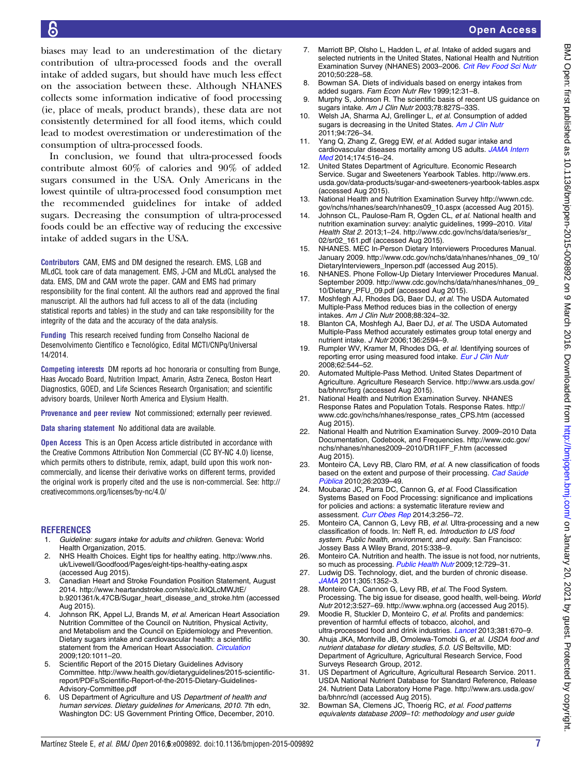<span id="page-6-0"></span>biases may lead to an underestimation of the dietary contribution of ultra-processed foods and the overall intake of added sugars, but should have much less effect on the association between these. Although NHANES collects some information indicative of food processing (ie, place of meals, product brands), these data are not consistently determined for all food items, which could lead to modest overestimation or underestimation of the consumption of ultra-processed foods.

In conclusion, we found that ultra-processed foods contribute almost 60% of calories and 90% of added sugars consumed in the USA. Only Americans in the lowest quintile of ultra-processed food consumption met the recommended guidelines for intake of added sugars. Decreasing the consumption of ultra-processed foods could be an effective way of reducing the excessive intake of added sugars in the USA.

Contributors CAM, EMS and DM designed the research. EMS, LGB and MLdCL took care of data management. EMS, J-CM and MLdCL analysed the data. EMS, DM and CAM wrote the paper. CAM and EMS had primary responsibility for the final content. All the authors read and approved the final manuscript. All the authors had full access to all of the data (including statistical reports and tables) in the study and can take responsibility for the integrity of the data and the accuracy of the data analysis.

Funding This research received funding from Conselho Nacional de Desenvolvimento Científico e Tecnológico, Edital MCTI/CNPq/Universal 14/2014.

Competing interests DM reports ad hoc honoraria or consulting from Bunge, Haas Avocado Board, Nutrition Impact, Amarin, Astra Zeneca, Boston Heart Diagnostics, GOED, and Life Sciences Research Organisation; and scientific advisory boards, Unilever North America and Elysium Health.

Provenance and peer review Not commissioned; externally peer reviewed.

Data sharing statement No additional data are available.

Open Access This is an Open Access article distributed in accordance with the Creative Commons Attribution Non Commercial (CC BY-NC 4.0) license, which permits others to distribute, remix, adapt, build upon this work noncommercially, and license their derivative works on different terms, provided the original work is properly cited and the use is non-commercial. See: [http://](http://creativecommons.org/licenses/by-nc/4.0/) [creativecommons.org/licenses/by-nc/4.0/](http://creativecommons.org/licenses/by-nc/4.0/)

#### REFERENCES

- 1. Guideline: sugars intake for adults and children. Geneva: World Health Organization, 2015.
- 2. NHS Health Choices. Eight tips for healthy eating. [http://www.nhs.](http://www.nhs.uk/Livewell/Goodfood/Pages/eight-tips-healthy-eating.aspx) [uk/Livewell/Goodfood/Pages/eight-tips-healthy-eating.aspx](http://www.nhs.uk/Livewell/Goodfood/Pages/eight-tips-healthy-eating.aspx) (accessed Aug 2015).
- 3. Canadian Heart and Stroke Foundation Position Statement, August 2014. [http://www.heartandstroke.com/site/c.ikIQLcMWJtE/](http://www.heartandstroke.com/site/c.ikIQLcMWJtE/b.9201361/k.47CB/Sugar_heart_disease_and_stroke.htm) [b.9201361/k.47CB/Sugar\\_heart\\_disease\\_and\\_stroke.htm](http://www.heartandstroke.com/site/c.ikIQLcMWJtE/b.9201361/k.47CB/Sugar_heart_disease_and_stroke.htm) (accessed Aug 2015).
- Johnson RK, Appel LJ, Brands M, et al. American Heart Association Nutrition Committee of the Council on Nutrition, Physical Activity, and Metabolism and the Council on Epidemiology and Prevention. Dietary sugars intake and cardiovascular health: a scientific statement from the American Heart Association. [Circulation](http://dx.doi.org/10.1161/CIRCULATIONAHA.109.192627) 2009;120:1011–20.
- 5. Scientific Report of the 2015 Dietary Guidelines Advisory Committee. http://www.health.gov/dietaryguidelines/2015-scientificreport/PDFs/Scientific-Report-of-the-2015-Dietary-Guidelines-Advisory-Committee.pdf
- 6. US Department of Agriculture and US Department of health and human services. Dietary guidelines for Americans, 2010. 7th edn, Washington DC: US Government Printing Office, December, 2010.
- 7. Marriott BP, Olsho L, Hadden L, et al. Intake of added sugars and selected nutrients in the United States, National Health and Nutrition Examination Survey (NHANES) 2003–2006. [Crit Rev Food Sci Nutr](http://dx.doi.org/10.1080/10408391003626223) 2010;50:228–58.
- 8. Bowman SA. Diets of individuals based on energy intakes from added sugars. Fam Econ Nutr Rev 1999;12:31–8.
- 9. Murphy S, Johnson R. The scientific basis of recent US guidance on sugars intake. Am J Clin Nutr 2003;78:827S–33S.
- 10. Welsh JA, Sharma AJ, Grellinger L, et al. Consumption of added sugars is decreasing in the United States. [Am J Clin Nutr](http://dx.doi.org/10.3945/ajcn.111.018366) 2011;94:726–34.
- 11. Yang Q, Zhang Z, Gregg EW, et al. Added sugar intake and cardiovascular diseases mortality among US adults. [JAMA Intern](http://dx.doi.org/10.1001/jamainternmed.2013.13563) [Med](http://dx.doi.org/10.1001/jamainternmed.2013.13563) 2014;174:516–24.
- 12. United States Department of Agriculture. Economic Research Service. Sugar and Sweeteners Yearbook Tables. [http://www.ers.](http://www.ers.usda.gov/data-products/sugar-and-sweeteners-yearbook-tables.aspx) [usda.gov/data-products/sugar-and-sweeteners-yearbook-tables.aspx](http://www.ers.usda.gov/data-products/sugar-and-sweeteners-yearbook-tables.aspx) (accessed Aug 2015).
- 13. National Health and Nutrition Examination Survey [http://wwwn.cdc.](http://wwwn.cdc.gov/nchs/nhanes/search/nhanes09_10.aspx) [gov/nchs/nhanes/search/nhanes09\\_10.aspx](http://wwwn.cdc.gov/nchs/nhanes/search/nhanes09_10.aspx) (accessed Aug 2015).
- 14. Johnson CL, Paulose-Ram R, Ogden CL, et al. National health and nutrition examination survey: analytic guidelines, 1999–2010. Vital Health Stat 2. 2013;1–24. [http://www.cdc.gov/nchs/data/series/sr\\_](http://www.cdc.gov/nchs/data/series/sr_02/sr02_161.pdf) [02/sr02\\_161.pdf](http://www.cdc.gov/nchs/data/series/sr_02/sr02_161.pdf) (accessed Aug 2015).
- 15. NHANES. MEC In-Person Dietary Interviewers Procedures Manual. January 2009. [http://www.cdc.gov/nchs/data/nhanes/nhanes\\_09\\_10/](http://www.cdc.gov/nchs/data/nhanes/nhanes_09_10/DietaryInterviewers_Inperson.pdf) [DietaryInterviewers\\_Inperson.pdf](http://www.cdc.gov/nchs/data/nhanes/nhanes_09_10/DietaryInterviewers_Inperson.pdf) (accessed Aug 2015).
- 16. NHANES. Phone Follow-Up Dietary Interviewer Procedures Manual. September 2009. [http://www.cdc.gov/nchs/data/nhanes/nhanes\\_09\\_](http://www.cdc.gov/nchs/data/nhanes/nhanes_09_10/Dietary_PFU_09.pdf) [10/Dietary\\_PFU\\_09.pdf](http://www.cdc.gov/nchs/data/nhanes/nhanes_09_10/Dietary_PFU_09.pdf) (accessed Aug 2015).
- 17. Moshfegh AJ, Rhodes DG, Baer DJ, et al. The USDA Automated Multiple-Pass Method reduces bias in the collection of energy intakes. Am J Clin Nutr 2008;88:324–32.
- 18. Blanton CA, Moshfegh AJ, Baer DJ, et al. The USDA Automated Multiple-Pass Method accurately estimates group total energy and nutrient intake. J Nutr 2006;136:2594–9.
- 19. Rumpler WV, Kramer M, Rhodes DG, et al. Identifying sources of reporting error using measured food intake. [Eur J Clin Nutr](http://dx.doi.org/10.1038/sj.ejcn.1602742) 2008;62:544–52.
- 20. Automated Multiple-Pass Method. United States Department of Agriculture. Agriculture Research Service. [http://www.ars.usda.gov/](http://www.ars.usda.gov/ba/bhnrc/fsrg) [ba/bhnrc/fsrg](http://www.ars.usda.gov/ba/bhnrc/fsrg) (accessed Aug 2015).
- 21. National Health and Nutrition Examination Survey. NHANES Response Rates and Population Totals. Response Rates. [http://](http://www.cdc.gov/nchs/nhanes/response_rates_CPS.htm) [www.cdc.gov/nchs/nhanes/response\\_rates\\_CPS.htm](http://www.cdc.gov/nchs/nhanes/response_rates_CPS.htm) (accessed Aug 2015).
- 22. National Health and Nutrition Examination Survey. 2009–2010 Data Documentation, Codebook, and Frequencies. [http://www.cdc.gov/](http://www.cdc.gov/nchs/nhanes/nhanes2009–2010/DR1IFF_F.htm) [nchs/nhanes/nhanes2009](http://www.cdc.gov/nchs/nhanes/nhanes2009–2010/DR1IFF_F.htm)–2010/DR1IFF\_F.htm (accessed Aug 2015).
- 23. Monteiro CA, Levy RB, Claro RM, et al. A new classification of foods based on the extent and purpose of their processing. [Cad Saúde](http://dx.doi.org/10.1590/S0102-311X2010001100005) [Pública](http://dx.doi.org/10.1590/S0102-311X2010001100005) 2010;26:2039–49.
- 24. Moubarac JC, Parra DC, Cannon G, et al. Food Classification Systems Based on Food Processing: significance and implications for policies and actions: a systematic literature review and assessment. [Curr Obes Rep](http://dx.doi.org/10.1007/s13679-014-0092-0) 2014;3:256-72.
- 25. Monteiro CA, Cannon G, Levy RB, et al. Ultra-processing and a new classification of foods. In: Neff R, ed. Introduction to US food system. Public health, environment, and equity. San Francisco: Jossey Bass A Wiley Brand, 2015:338–9.
- 26. Monteiro CA. Nutrition and health. The issue is not food, nor nutrients, so much as processing. [Public Health Nutr](http://dx.doi.org/10.1017/S1368980009005291) 2009;12:729-31.
- 27. Ludwig DS. Technology, diet, and the burden of chronic disease. [JAMA](http://dx.doi.org/10.1001/jama.2011.380) 2011;305:1352–3.
- 28. Monteiro CA, Cannon G, Levy RB, et al. The Food System. Processing. The big issue for disease, good health, well-being. World Nutr 2012;3:527–69.<http://www.wphna.org> (accessed Aug 2015).
- Moodie R, Stuckler D, Monteiro C, et al. Profits and pandemics: prevention of harmful effects of tobacco, alcohol, and ultra-processed food and drink industries. *[Lancet](http://dx.doi.org/10.1016/S0140-6736(12)62089-3)* 2013;381:670-9.
- 30. Ahuja JKA, Montville JB, Omolewa-Tomobi G, et al. USDA food and nutrient database for dietary studies, 5.0. US Beltsville, MD: Department of Agriculture, Agricultural Research Service, Food Surveys Research Group, 2012.
- 31. US Department of Agriculture, Agricultural Research Service. 2011. USDA National Nutrient Database for Standard Reference, Release 24. Nutrient Data Laboratory Home Page. [http://www.ars.usda.gov/](http://www.ars.usda.gov/ba/bhnrc/ndl) [ba/bhnrc/ndl](http://www.ars.usda.gov/ba/bhnrc/ndl) (accessed Aug 2015).
- 32. Bowman SA, Clemens JC, Thoerig RC, et al. Food patterns equivalents database 2009–10: methodology and user guide